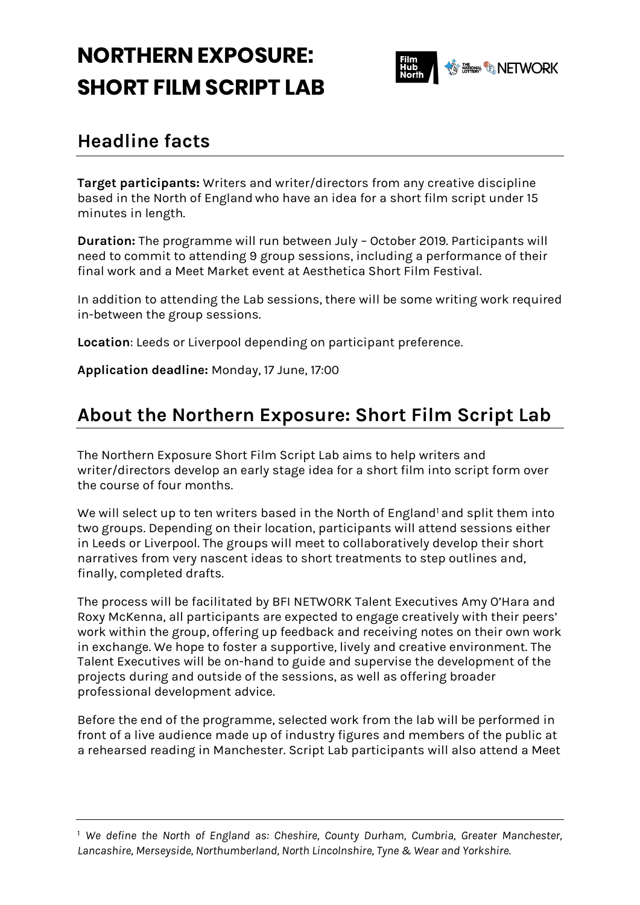# **NORTHERN EXPOSURE: SHORT FILM SCRIPT LAB**



#### **Headline facts**

**Target participants:** Writers and writer/directors from any creative discipline based in the North of England who have an idea for a short film script under 15 minutes in length.

**Duration:** The programme will run between July – October 2019. Participants will need to commit to attending 9 group sessions, including a performance of their final work and a Meet Market event at Aesthetica Short Film Festival.

In addition to attending the Lab sessions, there will be some writing work required in-between the group sessions.

**Location**: Leeds or Liverpool depending on participant preference.

**Application deadline:** Monday, 17 June, 17:00

## **About the Northern Exposure: Short Film Script Lab**

The Northern Exposure Short Film Script Lab aims to help writers and writer/directors develop an early stage idea for a short film into script form over the course of four months.

We will select up to ten writers based in the North of England<sup>1</sup> and split them into two groups. Depending on their location, participants will attend sessions either in Leeds or Liverpool. The groups will meet to collaboratively develop their short narratives from very nascent ideas to short treatments to step outlines and, finally, completed drafts.

The process will be facilitated by BFI NETWORK Talent Executives Amy O'Hara and Roxy McKenna, all participants are expected to engage creatively with their peers' work within the group, offering up feedback and receiving notes on their own work in exchange. We hope to foster a supportive, lively and creative environment. The Talent Executives will be on-hand to guide and supervise the development of the projects during and outside of the sessions, as well as offering broader professional development advice.

Before the end of the programme, selected work from the lab will be performed in front of a live audience made up of industry figures and members of the public at a rehearsed reading in Manchester. Script Lab participants will also attend a Meet

<sup>1</sup> *We define the North of England as: Cheshire, County Durham, Cumbria, Greater Manchester, Lancashire, Merseyside, Northumberland, North Lincolnshire, Tyne & Wear and Yorkshire.*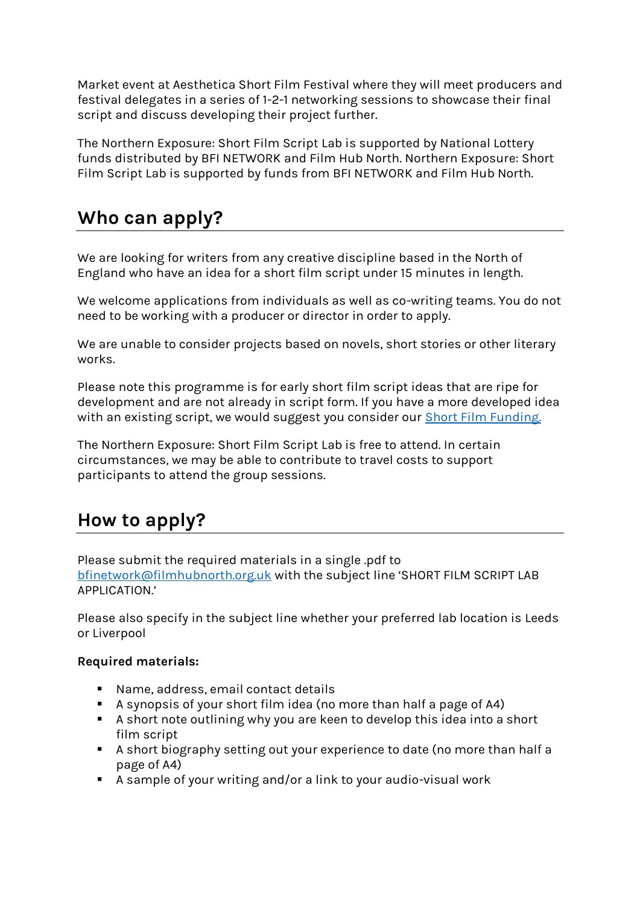Market event at Aesthetica Short Film Festival where they will meet producers and festival delegates in a series of 1-2-1 networking sessions to showcase their final script and discuss developing their project further.

The Northern Exposure: Short Film Script Lab is supported by National Lottery funds distributed by BFI NETWORK and Film Hub North. Northern Exposure: Short Film Script Lab is supported by funds from BFI NETWORK and Film Hub North.

### **Who can apply?**

We are looking for writers from any creative discipline based in the North of England who have an idea for a short film script under 15 minutes in length.

We welcome applications from individuals as well as co-writing teams. You do not need to be working with a producer or director in order to apply.

We are unable to consider projects based on novels, short stories or other literary works.

Please note this programme is for early short film script ideas that are ripe for development and are not already in script form. If you have a more developed idea with an existing script, we would suggest you consider our [Short Film Funding.](https://network.bfi.org.uk/funding-available)

The Northern Exposure: Short Film Script Lab is free to attend. In certain circumstances, we may be able to contribute to travel costs to support participants to attend the group sessions.

# **How to apply?**

Please submit the required materials in a single .pdf to [bfinetwork@filmhubnorth.org.uk](mailto:bfinetwork@filmhubnorth.org.uk) with the subject line 'SHORT FILM SCRIPT LAB APPLICATION.'

Please also specify in the subject line whether your preferred lab location is Leeds or Liverpool

#### **Required materials:**

- Name, address, email contact details
- A synopsis of your short film idea (no more than half a page of A4)
- A short note outlining why you are keen to develop this idea into a short film script
- A short biography setting out your experience to date (no more than half a page of A4)
- A sample of your writing and/or a link to your audio-visual work